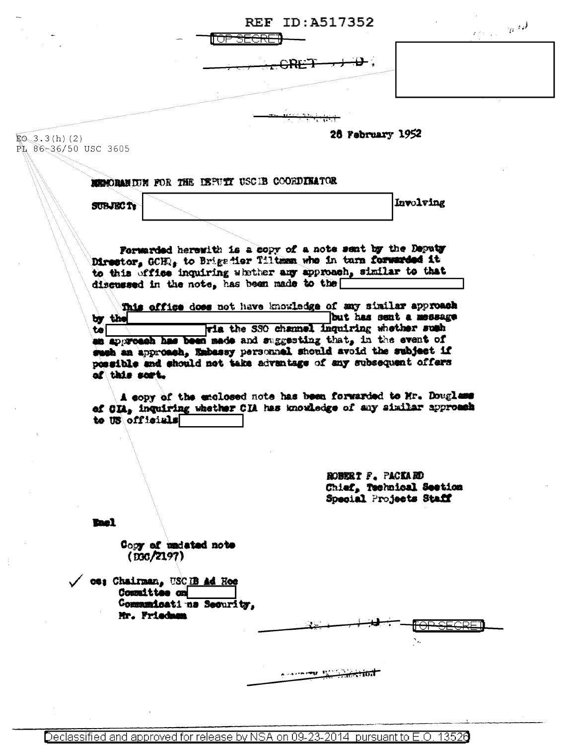|                                         |                                            |                                    | TO <del>P SECRET</del>                                                                                                                                                                                                                      | <b>REF ID: A517352</b> |                          | $\label{eq:2.1} \rho_{\frac{1}{2}(\frac{1}{2},\frac{1}{2},\frac{1}{2})} = 2\mu^{-\frac{1}{2}}\partial^{\frac{1}{2}}.$ |
|-----------------------------------------|--------------------------------------------|------------------------------------|---------------------------------------------------------------------------------------------------------------------------------------------------------------------------------------------------------------------------------------------|------------------------|--------------------------|-----------------------------------------------------------------------------------------------------------------------|
|                                         |                                            |                                    |                                                                                                                                                                                                                                             |                        |                          |                                                                                                                       |
|                                         |                                            |                                    |                                                                                                                                                                                                                                             |                        |                          |                                                                                                                       |
|                                         |                                            |                                    |                                                                                                                                                                                                                                             |                        |                          |                                                                                                                       |
| $E_0$ 3.3(h)(2)<br>PL 86-36/50 USC 3605 |                                            |                                    |                                                                                                                                                                                                                                             | 26 February 1952       |                          |                                                                                                                       |
|                                         |                                            |                                    |                                                                                                                                                                                                                                             |                        |                          |                                                                                                                       |
|                                         |                                            |                                    | MENORARIUM FOR THE DEPUTY USCIB COORDINATOR                                                                                                                                                                                                 |                        |                          |                                                                                                                       |
|                                         | <b>SUBJECT:</b>                            |                                    |                                                                                                                                                                                                                                             |                        | Involving                |                                                                                                                       |
|                                         |                                            |                                    |                                                                                                                                                                                                                                             |                        |                          |                                                                                                                       |
|                                         |                                            |                                    | Forwarded herewith is a copy of a note sent by the Deputy<br>Director, GCHR, to Brigadier Tiltman who in turn forwarded it<br>to this office inquiring whether any approach, similar to that<br>discussed in the note, has been made to the |                        |                          |                                                                                                                       |
|                                         |                                            |                                    | This office does not have knowledge of any similar approach                                                                                                                                                                                 |                        |                          |                                                                                                                       |
|                                         | by the                                     |                                    |                                                                                                                                                                                                                                             |                        | but has sent a message   |                                                                                                                       |
|                                         | $\bullet$                                  |                                    | The the SSO channel inquiring whether such                                                                                                                                                                                                  |                        |                          |                                                                                                                       |
|                                         | of this sort.                              |                                    | an approach has been made and suggesting that, in the event of<br>such an approach, Embassy personnel should avoid the subject if<br>possible and should not take advantage of any subsequent offers                                        |                        |                          |                                                                                                                       |
|                                         | to US officials                            |                                    | A copy of the enclosed note has been forwarded to Mr. Douglass<br>of CIA, inquiring whether CIA has knowledge of any similar approach                                                                                                       |                        |                          |                                                                                                                       |
|                                         |                                            |                                    |                                                                                                                                                                                                                                             |                        |                          |                                                                                                                       |
|                                         |                                            |                                    |                                                                                                                                                                                                                                             |                        |                          |                                                                                                                       |
|                                         |                                            |                                    |                                                                                                                                                                                                                                             | ROBERT F. PACKARD      | Chief, Technical Section |                                                                                                                       |
|                                         |                                            |                                    |                                                                                                                                                                                                                                             |                        | Special Projects Staff   |                                                                                                                       |
|                                         | <b>Rac1</b>                                |                                    |                                                                                                                                                                                                                                             |                        |                          |                                                                                                                       |
|                                         |                                            | Copy of undeted note<br>(D30/2197) |                                                                                                                                                                                                                                             |                        |                          |                                                                                                                       |
|                                         | 06: Chairman, USCIB Ad Hoe<br>Committee on |                                    |                                                                                                                                                                                                                                             |                        |                          |                                                                                                                       |
|                                         | Mr. Friedman                               | Commanicati na Security,           |                                                                                                                                                                                                                                             |                        |                          |                                                                                                                       |
|                                         |                                            |                                    |                                                                                                                                                                                                                                             |                        |                          |                                                                                                                       |
|                                         |                                            |                                    |                                                                                                                                                                                                                                             |                        |                          |                                                                                                                       |